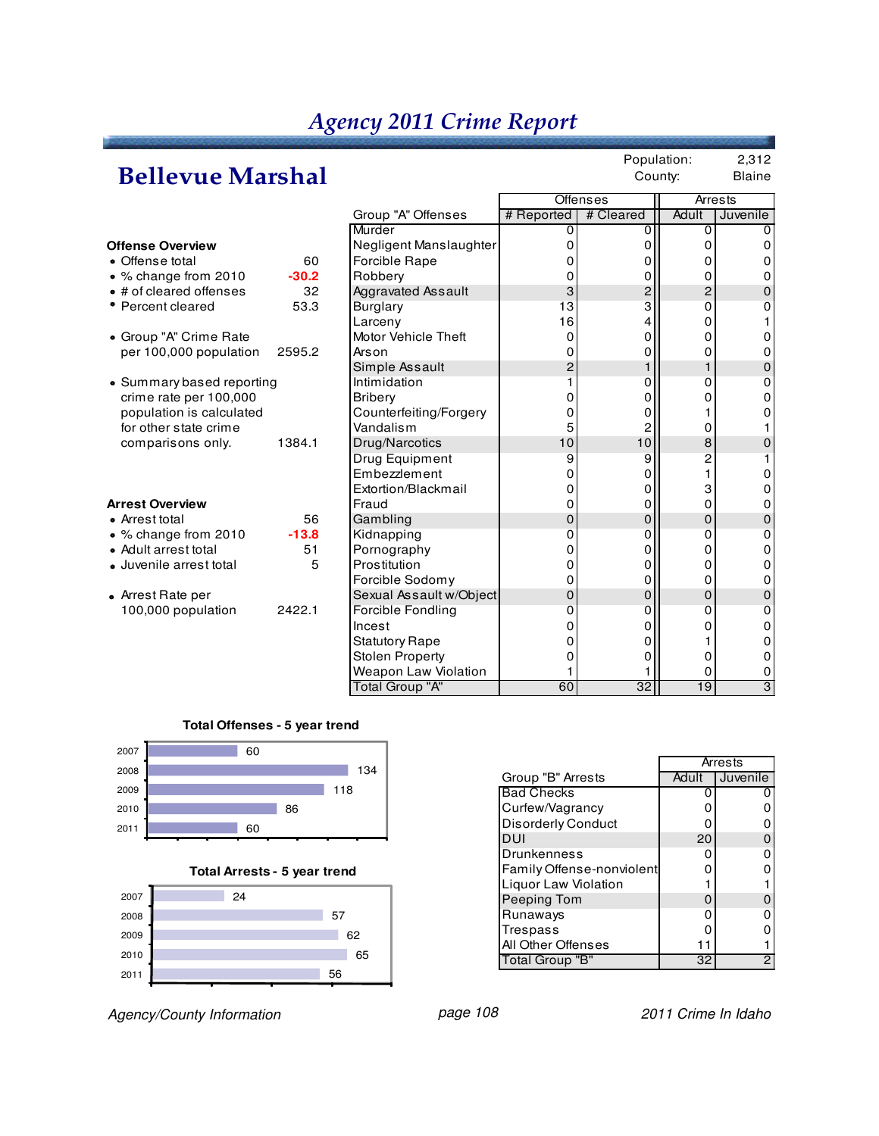### **Bellevue Marshal**

Population: 2,312 County: Blaine

|                           |         |                          |                | <b>Offenses</b>         | Arrests        |              |
|---------------------------|---------|--------------------------|----------------|-------------------------|----------------|--------------|
|                           |         | Group "A" Offenses       | # Reported     | # Cleared               | Adult          | Juvenile     |
|                           |         | Murder                   | 0              | 0                       | 0              | O            |
| <b>Offense Overview</b>   |         | Negligent Manslaughter   | ი              | 0                       | O              | 0            |
| • Offense total           | 60      | <b>Forcible Rape</b>     |                | 0                       | 0              | 0            |
| • % change from 2010      | $-30.2$ | Robbery                  |                | 0                       | 0              | 0            |
| • # of cleared offenses   | 32      | Aggravated Assault       | 3              | $\overline{\mathbf{c}}$ | $\overline{2}$ | $\Omega$     |
| • Percent cleared         | 53.3    | <b>Burglary</b>          | 13             | 3                       | 0              | 0            |
|                           |         | Larceny                  | 16             | 4                       | 0              |              |
| • Group "A" Crime Rate    |         | Motor Vehicle Theft      | 0              | 0                       | 0              | 0            |
| per 100,000 population    | 2595.2  | Arson                    | 0              | 0                       | 0              | 0            |
|                           |         | Simple Assault           | $\overline{c}$ | 1                       |                | $\mathbf{0}$ |
| • Summary based reporting |         | Intimidation             |                | 0                       | 0              | 0            |
| crime rate per 100,000    |         | <b>Bribery</b>           |                | 0                       | 0              | 0            |
| population is calculated  |         | Counterfeiting/Forgery   | 0              | 0                       |                | 0            |
| for other state crime     |         | Vandalism                | 5              | $\overline{c}$          | 0              |              |
| comparisons only.         | 1384.1  | Drug/Narcotics           | 10             | 10                      | 8              | 0            |
|                           |         | Drug Equipment           | 9              | 9                       | 2              |              |
|                           |         | Embezzlement             | 0              | 0                       |                | 0            |
|                           |         | Extortion/Blackmail      | 0              | 0                       | 3              | 0            |
| <b>Arrest Overview</b>    |         | Fraud                    | 0              | 0                       | 0              | 0            |
| • Arrest total            | 56      | Gambling                 | 0              | 0                       | $\mathbf 0$    | $\mathbf{0}$ |
| • % change from 2010      | $-13.8$ | Kidnapping               | 0              | 0                       | 0              | $\Omega$     |
| • Adult arrest total      | 51      | Pornography              | 0              | 0                       | 0              | 0            |
| · Juvenile arrest total   | 5       | Prostitution             |                | 0                       | 0              | 0            |
|                           |         | Forcible Sodomy          | 0              | 0                       | 0              | 0            |
| • Arrest Rate per         |         | Sexual Assault w/Object  | 0              | 0                       | $\overline{0}$ | $\mathbf{0}$ |
| 100,000 population        | 2422.1  | <b>Forcible Fondling</b> | 0              | 0                       | 0              | 0            |
|                           |         | Incest                   | 0              | 0                       | 0              | 0            |
|                           |         | <b>Statutory Rape</b>    | 0              | 0                       |                | 0            |
|                           |         | <b>Stolen Property</b>   | 0              | 0                       | 0              | 0            |
|                           |         | Weapon Law Violation     |                |                         | 0              | 0            |
|                           |         | <b>Total Group "A"</b>   | 60             | 32                      | 19             | 3            |

#### **Total Offenses - 5 year trend**



**Total Arrests - 5 year trend**



Agency/County Information **page 108** page 108 2011 Crime In Idaho

|                           | Arrests |                 |  |  |  |
|---------------------------|---------|-----------------|--|--|--|
| Group "B" Arrests         | Adult   | <b>Juvenile</b> |  |  |  |
| <b>Bad Checks</b>         | O       |                 |  |  |  |
| Curfew/Vagrancy           | 0       |                 |  |  |  |
| Disorderly Conduct        | 0       |                 |  |  |  |
| DUI                       | 20      |                 |  |  |  |
| <b>Drunkenness</b>        | ი       |                 |  |  |  |
| Family Offense-nonviolent | ი       |                 |  |  |  |
| Liquor Law Violation      |         |                 |  |  |  |
| Peeping Tom               | 0       |                 |  |  |  |
| Runaways                  | ი       |                 |  |  |  |
| Trespass                  | ი       |                 |  |  |  |
| All Other Offenses        |         |                 |  |  |  |
| <b>Total Group "B"</b>    | 32      | 2               |  |  |  |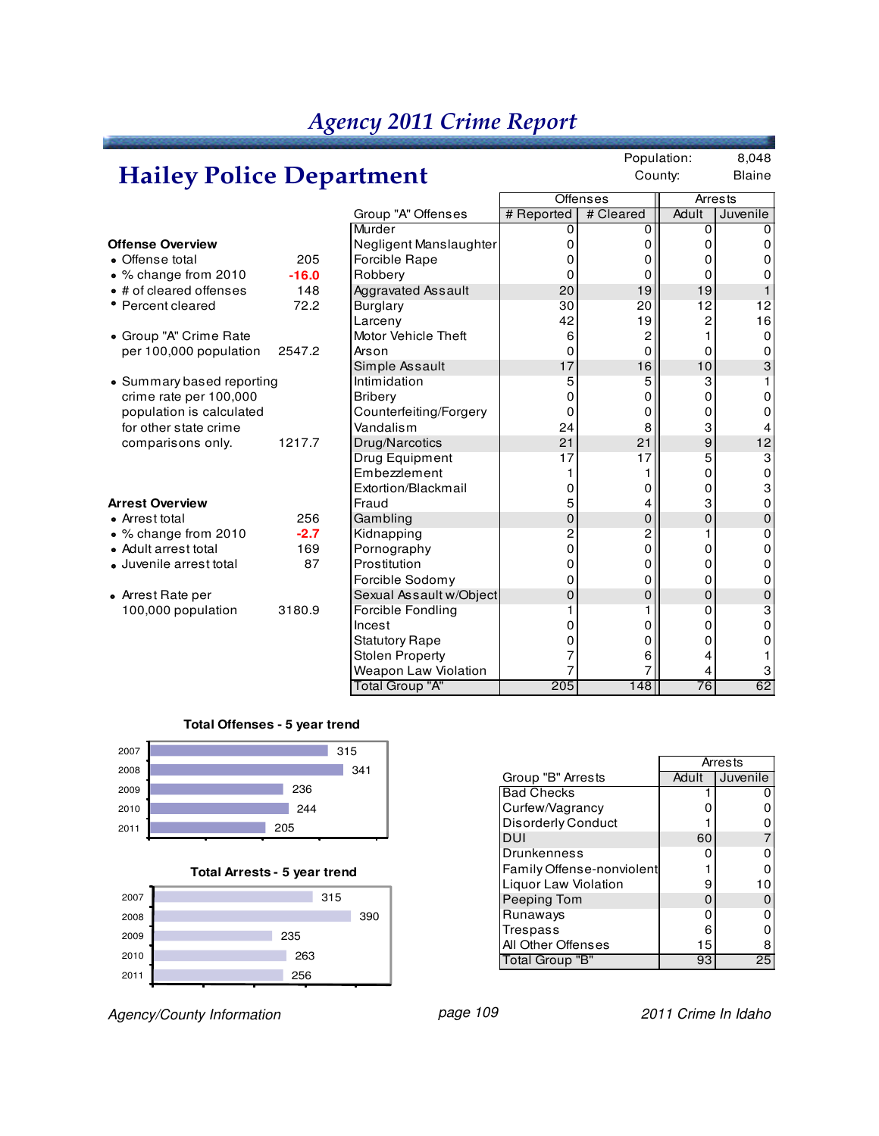## **Hailey Police Department**

Population: 8,048 County: Blaine

|                                  |                         |            | <b>Offenses</b> |       | <b>Arrests</b> |
|----------------------------------|-------------------------|------------|-----------------|-------|----------------|
|                                  | Group "A" Offenses      | # Reported | # Cleared       | Adult | Juvenile       |
|                                  | Murder                  | 0          | 0               | 0     |                |
| Offense Overview                 | Negligent Manslaughter  | ი          | 0               | 0     |                |
| • Offense total<br>205           | Forcible Rape           |            | Ω               | 0     |                |
| • % change from 2010<br>$-16.0$  | Robbery                 | ი          | 0               | 0     |                |
| • # of cleared offenses<br>148   | Aggravated Assault      | 20         | 19              | 19    |                |
| • Percent cleared<br>72.2        | Burglary                | 30         | 20              | 12    | 12             |
|                                  | Larceny                 | 42         | 19              | 2     | 16             |
| • Group "A" Crime Rate           | Motor Vehicle Theft     | 6          | 2               |       | 0              |
| per 100,000 population<br>2547.2 | Arson                   | 0          | $\overline{0}$  | 0     | 0              |
|                                  | Simple Assault          | 17         | 16              | 10    | 3              |
| • Summary based reporting        | Intimidation            | 5          | 5               | 3     |                |
| crime rate per 100,000           | <b>Bribery</b>          | n          | 0               | 0     | 0              |
| population is calculated         | Counterfeiting/Forgery  | 0          | 0               | 0     |                |
| for other state crime            | Vandalism               | 24         | 8               | 3     |                |
| 1217.7<br>comparisons only.      | Drug/Narcotics          | 21         | 21              | 9     | 12             |
|                                  | Drug Equipment          | 17         | 17              | 5     | 3              |
|                                  | Embezzlement            |            |                 | 0     | 0              |
|                                  | Extortion/Blackmail     | O          | 0               | 0     | 3              |
| <b>Arrest Overview</b>           | Fraud                   | 5          | 4               | 3     | 0              |
| 256<br>• Arrest total            | Gambling                | 0          | $\mathbf 0$     | 0     | 0              |
| $-2.7$<br>• % change from 2010   | Kidnapping              | 2          | $\overline{2}$  |       | ი              |
| • Adult arrest total<br>169      | Pornography             | 0          | 0               | 0     | ი              |
| · Juvenile arrest total<br>87    | Prostitution            | O          | 0               | 0     | 0              |
|                                  | Forcible Sodomy         |            | $\overline{0}$  | 0     | 0              |
| • Arrest Rate per                | Sexual Assault w/Object | 0          | 0               | 0     | 0              |
| 100,000 population<br>3180.9     | Forcible Fondling       |            |                 | 0     | 3              |
|                                  | Incest                  |            | 0               | 0     | 0              |
|                                  | <b>Statutory Rape</b>   |            | 0               | 0     |                |
|                                  | <b>Stolen Property</b>  |            | 6               | 4     |                |
|                                  | Weapon Law Violation    |            |                 | 4     |                |
|                                  | <b>Total Group "A"</b>  | 205        | 148             | 76    | 62             |

#### **Total Offenses - 5 year trend**



#### **Total Arrests - 5 year trend**



Agency/County Information **page 109** page 109 2011 Crime In Idaho

|                           | Arrests |          |  |  |  |
|---------------------------|---------|----------|--|--|--|
| Group "B" Arrests         | Adult   | Juvenile |  |  |  |
| <b>Bad Checks</b>         |         |          |  |  |  |
| Curfew/Vagrancy           | 0       |          |  |  |  |
| <b>Disorderly Conduct</b> |         |          |  |  |  |
| DUI                       | 60      |          |  |  |  |
| <b>Drunkenness</b>        | n       |          |  |  |  |
| Family Offense-nonviolent |         |          |  |  |  |
| Liquor Law Violation      | 9       | 10       |  |  |  |
| Peeping Tom               | O       |          |  |  |  |
| Runaways                  | 0       |          |  |  |  |
| Trespass                  | 6       |          |  |  |  |
| All Other Offenses        | 15      | 8        |  |  |  |
| Total Group "B"           | 93      | 25       |  |  |  |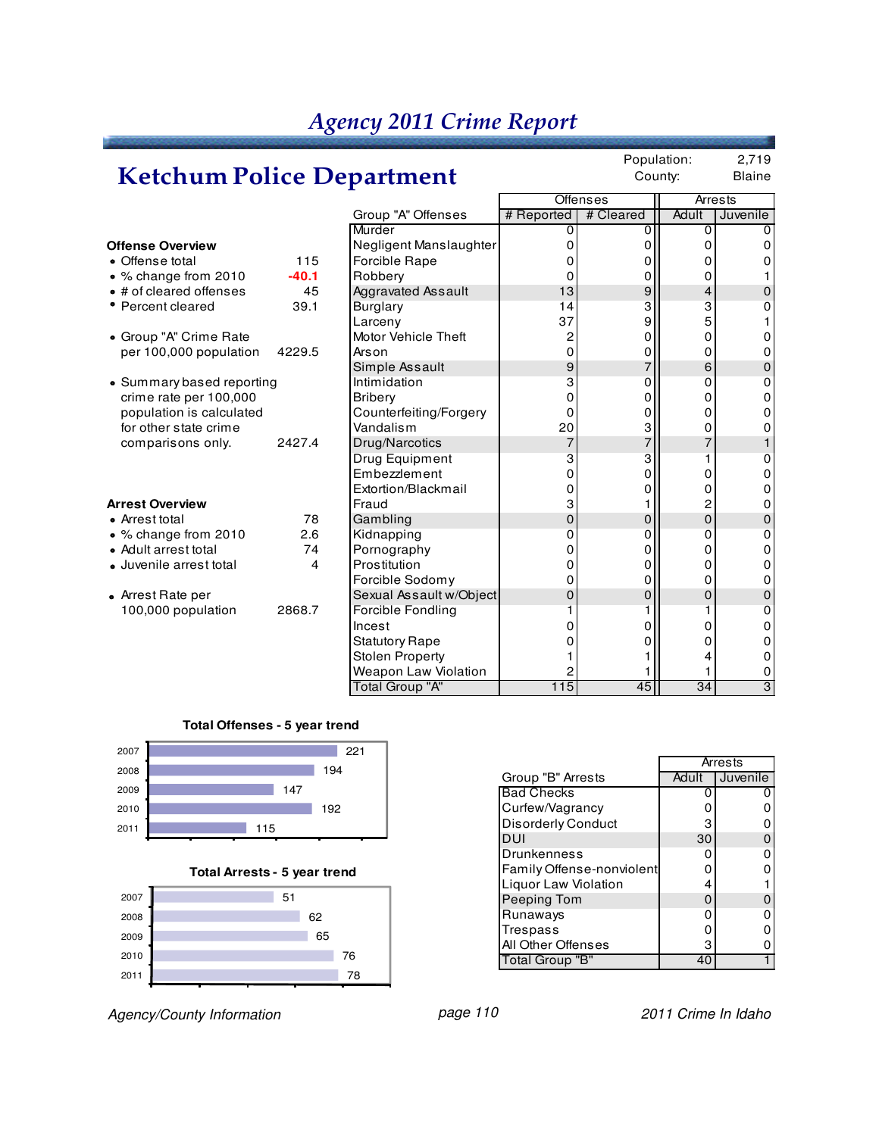## **Ketchum Police Department**

Population: 2,719 County: Blaine

|                           |         |                         |                | <b>Offenses</b> | Arrests |          |
|---------------------------|---------|-------------------------|----------------|-----------------|---------|----------|
|                           |         | Group "A" Offenses      | # Reported     | # Cleared       | Adult   | Juvenile |
|                           |         | Murder                  | 0              | 0               | 0       |          |
| <b>Offense Overview</b>   |         | Negligent Manslaughter  | 0              | 0               | Ω       |          |
| • Offense total           | 115     | Forcible Rape           | O              | 0               | Ω       |          |
| • % change from 2010      | $-40.1$ | Robbery                 | 0              | 0               | 0       |          |
| • # of cleared offenses   | 45      | Aggravated Assault      | 13             | 9               | 4       | 0        |
| • Percent cleared         | 39.1    | <b>Burglary</b>         | 14             | 3               | 3       |          |
|                           |         | Larceny                 | 37             | 9               | 5       |          |
| • Group "A" Crime Rate    |         | Motor Vehicle Theft     | 2              | 0               | 0       |          |
| per 100,000 population    | 4229.5  | Arson                   | 0              | 0               | 0       | 0        |
|                           |         | Simple Assault          | 9              | 7               | 6       | 0        |
| • Summary based reporting |         | Intimidation            | 3              | 0               | 0       | 0        |
| crime rate per 100,000    |         | <b>Bribery</b>          | 0              | 0               | 0       |          |
| population is calculated  |         | Counterfeiting/Forgery  | 0              | 0               | 0       | 0        |
| for other state crime     |         | Vandalism               | 20             | 3               | 0       |          |
| comparisons only.         | 2427.4  | Drug/Narcotics          | $\overline{7}$ | $\overline{7}$  | 7       |          |
|                           |         | Drug Equipment          | 3              | 3               |         | 0        |
|                           |         | Embezzlement            | O              | 0               | 0       | 0        |
|                           |         | Extortion/Blackmail     | O              | 0               | 0       |          |
| <b>Arrest Overview</b>    |         | Fraud                   | 3              |                 | 2       | 0        |
| • Arrest total            | 78      | Gambling                | 0              | 0               | 0       | 0        |
| • % change from 2010      | 2.6     | Kidnapping              | 0              | 0               | 0       | 0        |
| • Adult arrest total      | 74      | Pornography             | 0              | 0               | 0       | 0        |
| · Juvenile arrest total   | 4       | Prostitution            | 0              | 0               | 0       | 0        |
|                           |         | Forcible Sodomy         | 0              | 0               | 0       | 0        |
| • Arrest Rate per         |         | Sexual Assault w/Object | $\Omega$       | 0               | 0       | 0        |
| 100,000 population        | 2868.7  | Forcible Fondling       |                |                 |         | 0        |
|                           |         | Incest                  |                | 0               | 0       | 0        |
|                           |         | <b>Statutory Rape</b>   |                | O               | 0       | O.       |
|                           |         | <b>Stolen Property</b>  |                |                 |         | 0        |
|                           |         | Weapon Law Violation    |                |                 |         | 0        |
|                           |         | Total Group "A"         | 115            | 45              | 34      | 3        |
|                           |         |                         |                |                 |         |          |

#### **Total Offenses - 5 year trend**



#### **Total Arrests - 5 year trend**



Agency/County Information **page 110** page 110 2011 Crime In Idaho

|                           | Arrests  |          |  |  |
|---------------------------|----------|----------|--|--|
| Group "B" Arrests         | Adult    | Juvenile |  |  |
| <b>Bad Checks</b>         | o        |          |  |  |
| Curfew/Vagrancy           | 0        |          |  |  |
| <b>Disorderly Conduct</b> | 3        |          |  |  |
| DUI                       | 30       |          |  |  |
| Drunkenness               | O        | ი        |  |  |
| Family Offense-nonviolent | o        |          |  |  |
| Liquor Law Violation      | 4        |          |  |  |
| Peeping Tom               | $\Omega$ |          |  |  |
| Runaways                  | ი        | Ω        |  |  |
| Trespass                  | ი        |          |  |  |
| All Other Offenses        | з        |          |  |  |
| "Total Group "B"          | 40       |          |  |  |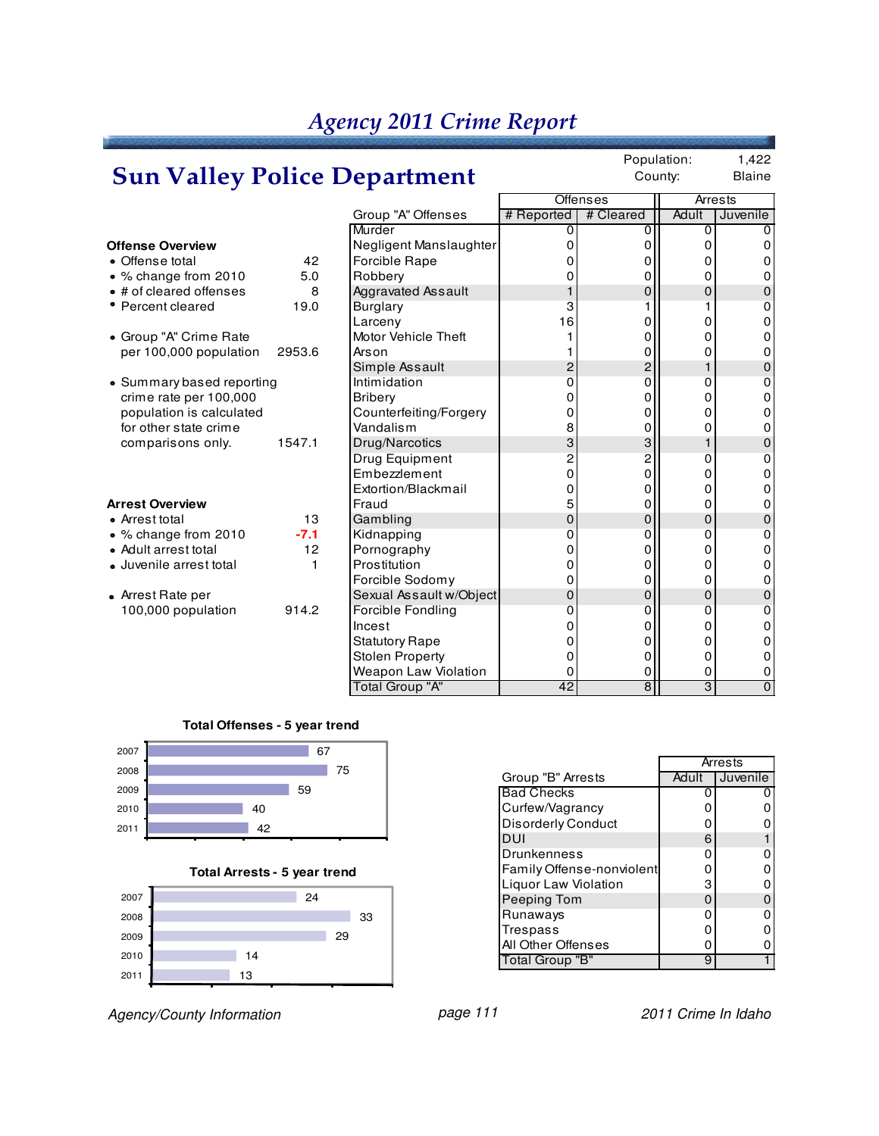#### *Agency 2011 Crime Report* Population: 1,422 County: Blaine Offenses | Arrests Group "A" Offenses # Reported | # Cleared | Adult | Juvenile Murder 0 0 0 0 **Offense Overview** Negligent Manslaughter 0 0 0 0 42 Forcible Rape  $\begin{array}{ccc} 0 & 0 & 0 \\ 5.0 & \text{Robbery} \end{array}$  0 0 0 0 0 % change from 2010 5.0 Robbery 0 0 0 0 • # of cleared offenses 8 Aggravated Assault  $\begin{vmatrix} 1 & 0 \\ 0 & 0 \end{vmatrix}$  0 0 0 • Percent cleared 19.0 Burglary 1 3 1 1 0 Larceny 16 0 0 0 Group "A" Crime Rate Motor Vehicle Theft 1 0 0 0 per 100,000 population 2953.6 Arson 1 0 0 0 Simple Assault  $\begin{array}{|c|c|c|c|c|}\n1 & 0 & 2 & 2 & 1 & 0 \\
\hline\nInimidation & & & & 0 & 0 & 0\n\end{array}$ • Summary based reporting  $\begin{array}{ccc} \text{I} & \text{I} & \text{I} \\ \text{I} & \text{I} & \text{I} \\ \text{I} & \text{I} & \text{I} \end{array}$  and  $\begin{array}{ccc} \text{I} & \text{I} & \text{I} \\ \text{I} & \text{I} & \text{I} \\ \text{I} & \text{I} & \text{I} \end{array}$  and  $\begin{array}{ccc} \text{I} & \text{I} & \text{I} \\ \text{I} & \text{I} & \text{I} \\ \text{I} & \text$ crime rate per 100,000 Bribery 0 0 0 0 population is calculated  $\begin{array}{|c|c|c|c|c|c|c|c|c|} \hline \text{population is calculated} & \text{Counterfeiting/Forgery} & & & & 0 & & 0 & & 0 \\ \hline \text{for other state crime} & & & \text{Vandalism} & & & 8 & & 0 & & 0 \\ \hline \end{array}$ for other state crime<br>
comparisons only. 1547.1 Drug/Narcotics  $\begin{array}{c|cc}\n\text{Vandalism} & 8 & 0 & 0 & 0 \\
\text{Drug/Narcotics} & 3 & 3 & 1 & 0 \\
\text{Drug Equipment} & 2 & 2 & 0 & 0 \\
\text{Embezzlement} & 0 & 0 & 0\n\end{array}$ comparisons only. 1547.1 Drug/Narcotics  $\begin{array}{|c|c|c|c|}\n\hline\n\text{Fung Equiment} & 3 & 3 & 1 & 0 \\
\hline\n\text{Drug Equipment} & 2 & 2 & 0 & 0 \\
\hline\n\text{Embezzlement} & 0 & 0 & 0\n\end{array}$ Drug Equipment  $\begin{array}{ccc} 2 & 2 & 0 & 0 \\ 0 & 0 & 0 & 0 \end{array}$ Embezzlement 0 0 0 0 0 0<br>Extortion/Blackmail 0 0 0 0 0 Extortion/Blackmail 0 0 0 0 **Arrest Overview** Fraud 5 0 0 0 Arrest total 13 |Gambling 0 | 0 || 0 | 0 % change from 2010 **-7.1** Kidnapping 0 0 0 0 • Adult arrest total  $\begin{bmatrix} 12 \\ P$  on ography  $\end{bmatrix}$   $\begin{bmatrix} 0 \\ 0 \\ 0 \end{bmatrix}$   $\begin{bmatrix} 0 \\ 0 \\ 0 \end{bmatrix}$   $\begin{bmatrix} 0 \\ 0 \\ 0 \end{bmatrix}$   $\begin{bmatrix} 0 \\ 0 \\ 0 \end{bmatrix}$   $\begin{bmatrix} 0 \\ 0 \\ 0 \end{bmatrix}$   $\begin{bmatrix} 0 \\ 0 \\ 0 \end{bmatrix}$ • Juvenile arrest total  $\begin{bmatrix} 1 \\ 2 \end{bmatrix}$  Prostitution  $\begin{bmatrix} 0 \\ 0 \end{bmatrix}$   $\begin{bmatrix} 0 \\ 0 \end{bmatrix}$   $\begin{bmatrix} 0 \\ 0 \end{bmatrix}$   $\begin{bmatrix} 0 \\ 0 \end{bmatrix}$   $\begin{bmatrix} 0 \\ 0 \end{bmatrix}$   $\begin{bmatrix} 0 \\ 0 \end{bmatrix}$ Forcible Sodomy  $\begin{array}{ccc} 0 & 0 & 0 \\ 0 & 0 & 0 \end{array}$  0 0 0 0 • Arrest Rate per Sexual Assault w/Object  $\begin{array}{ccc} 0 & 0 & 0 \\ 100,000 \text{ population} & 914.2 \end{array}$  Forcible Fondling  $\begin{array}{ccc} 0 & 0 & 0 \\ 0 & 0 & 0 \end{array}$ 100,000 population 914.2 Forcible Fondling 0 0 0 0 Incest 0 0 0 0 Statutory Rape 0 0 0 0 Stolen Property  $\begin{array}{ccc} \text{Stolen Property} \\ \text{Weapon Law Violation} \end{array} \begin{array}{ccc} \begin{array}{ccc} \text{O} & \text{O} & \text{O} & \text{O} \\ \text{O} & \text{O} & \text{O} & \text{O} \end{array} \end{array}$ Weapon Law Violation  $\begin{array}{c|c} 0 & 0 & 0 \\ \hline \hline \text{Total Group "A"} & 42 & 8 & 3 & 0 \end{array}$ **Sun Valley Police Department**

Total Group "A"

#### **Total Offenses - 5 year trend**



**Total Arrests - 5 year trend**



Agency/County Information **page 111** page 111 2011 Crime In Idaho

|                           | Arrests |          |  |
|---------------------------|---------|----------|--|
| Group "B" Arrests         | Adult   | Juvenile |  |
| <b>Bad Checks</b>         |         |          |  |
| Curfew/Vagrancy           |         |          |  |
| <b>Disorderly Conduct</b> |         |          |  |
| DUI                       | 6       |          |  |
| Drunkenness               | ი       |          |  |
| Family Offense-nonviolent | 0       |          |  |
| Liquor Law Violation      | 3       |          |  |
| Peeping Tom               | O       | 0        |  |
| Runaways                  | ი       |          |  |
| Trespass                  | ი       |          |  |
| All Other Offenses        | n       |          |  |
| Total Group "B"           | 9       |          |  |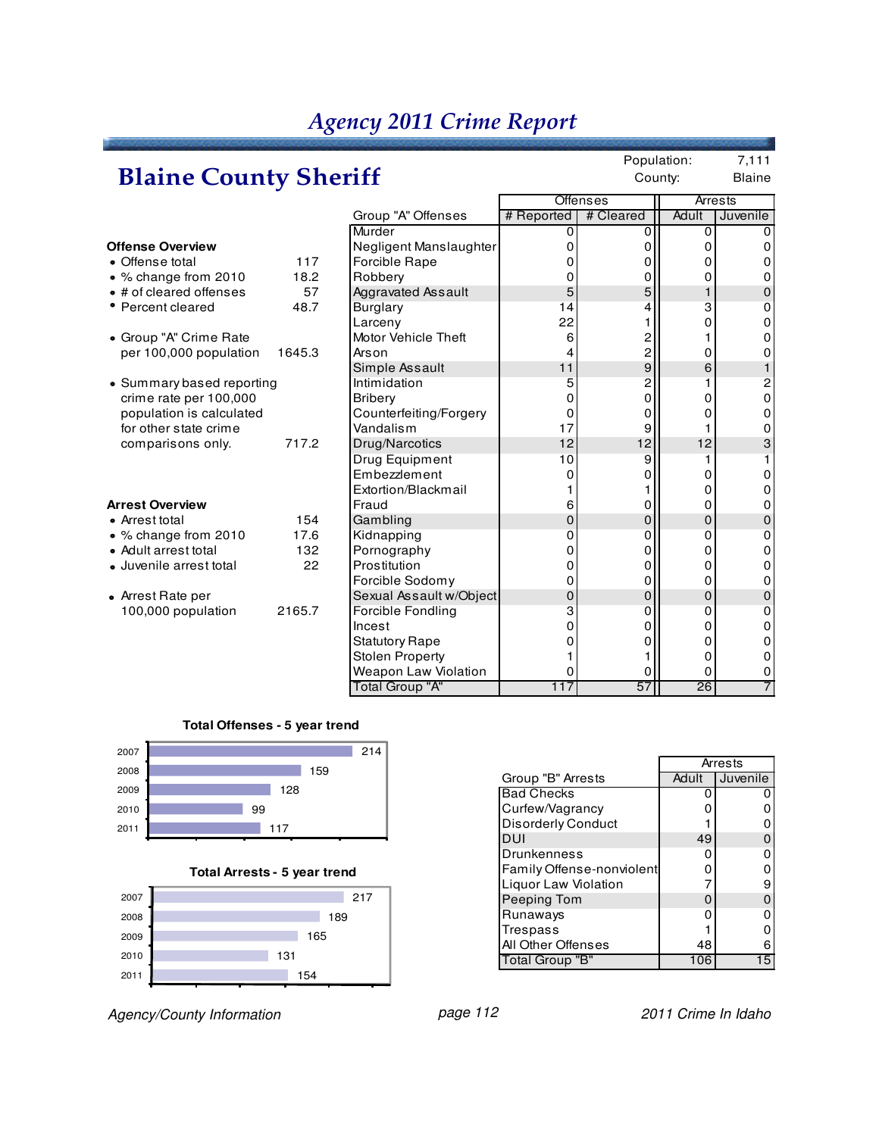# **Blaine County Sheriff**

Population: 7,111 County: Blaine

|                           |        |                           |            | <b>Offenses</b>  | Arrests     |          |
|---------------------------|--------|---------------------------|------------|------------------|-------------|----------|
|                           |        | Group "A" Offenses        | # Reported | # Cleared        | Adult       | Juvenile |
|                           |        | Murder                    | 0          |                  | 0           |          |
| <b>Offense Overview</b>   |        | Negligent Manslaughter    | 0          | 0                | Ω           |          |
| • Offense total           | 117    | Forcible Rape             | O          | Ω                | O           |          |
| • % change from 2010      | 18.2   | Robbery                   | O          | 0                | 0           | 0        |
| • # of cleared offenses   | 57     | <b>Aggravated Assault</b> | 5          | 5                | $\mathbf 1$ | 0        |
| • Percent cleared         | 48.7   | <b>Burglary</b>           | 14         |                  | 3           | 0        |
|                           |        | Larceny                   | 22         |                  | O           | n        |
| • Group "A" Crime Rate    |        | Motor Vehicle Theft       | 6          | 2                |             | n        |
| per 100,000 population    | 1645.3 | Arson                     |            | 2                | 0           |          |
|                           |        | Simple Assault            | 11         | $\boldsymbol{9}$ | 6           |          |
| • Summary based reporting |        | Intimidation              | 5          | 2                |             | 2        |
| crime rate per 100,000    |        | <b>Bribery</b>            | O          | 0                | 0           | 0        |
| population is calculated  |        | Counterfeiting/Forgery    | 0          | 0                | 0           | 0        |
| for other state crime     |        | Vandalism                 | 17         | 9                |             | 0        |
| comparisons only.         | 717.2  | Drug/Narcotics            | 12         | 12               | 12          | 3        |
|                           |        | Drug Equipment            | 10         | 9                |             |          |
|                           |        | Embezzlement              | O          | 0                | 0           |          |
|                           |        | Extortion/Blackmail       |            |                  | 0           | n        |
| <b>Arrest Overview</b>    |        | Fraud                     | 6          | 0                | 0           | 0        |
| • Arrest total            | 154    | Gambling                  | 0          | 0                | 0           | 0        |
| • % change from 2010      | 17.6   | Kidnapping                | $\Omega$   | 0                | 0           | 0        |
| • Adult arrest total      | 132    | Pornography               | 0          | 0                | 0           | 0        |
| · Juvenile arrest total   | 22     | Prostitution              | 0          | 0                | 0           | O.       |
|                           |        | Forcible Sodomy           | 0          | 0                | 0           | 0        |
| • Arrest Rate per         |        | Sexual Assault w/Object   | 0          | $\mathbf{0}$     | 0           | 0        |
| 100,000 population        | 2165.7 | Forcible Fondling         | 3          | 0                | 0           | ŋ        |
|                           |        | Incest                    | 0          | 0                | 0           | 0        |
|                           |        | <b>Statutory Rape</b>     |            | 0                | 0           |          |
|                           |        | <b>Stolen Property</b>    |            |                  | 0           | 0        |
|                           |        | Weapon Law Violation      | 0          | 0                | 0           | 0        |
|                           |        | <b>Total Group "A"</b>    | 117        | 57               | 26          |          |

#### **Total Offenses - 5 year trend**



**Total Arrests - 5 year trend**



Agency/County Information **page 112** page 112 2011 Crime In Idaho

|                           | Arrests |          |  |  |
|---------------------------|---------|----------|--|--|
| Group "B" Arrests         | Adult   | Juvenile |  |  |
| <b>Bad Checks</b>         |         |          |  |  |
| Curfew/Vagrancy           | n       | 0        |  |  |
| <b>Disorderly Conduct</b> |         | 0        |  |  |
| DUI                       | 49      | 0        |  |  |
| <b>Drunkenness</b>        | n       | 0        |  |  |
| Family Offense-nonviolent | n       | 0        |  |  |
| Liquor Law Violation      |         | 9        |  |  |
| Peeping Tom               | n       | 0        |  |  |
| Runaways                  | n       | 0        |  |  |
| Trespass                  |         | ი        |  |  |
| All Other Offenses        | 48      | 6        |  |  |
| Total Group "B"           | 106     | 15       |  |  |